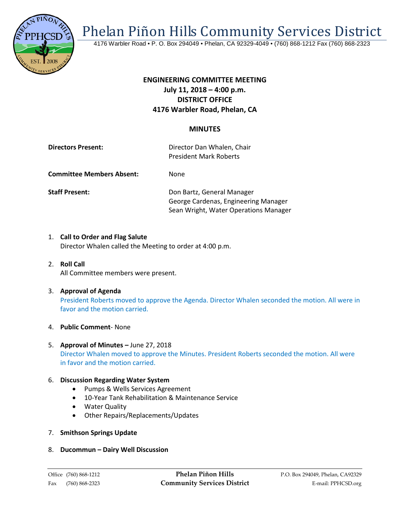

Phelan Piñon Hills Community Services District

4176 Warbler Road • P. O. Box 294049 • Phelan, CA 92329-4049 • (760) 868-1212 Fax (760) 868-2323

# **ENGINEERING COMMITTEE MEETING July 11, 2018 – 4:00 p.m. DISTRICT OFFICE 4176 Warbler Road, Phelan, CA**

## **MINUTES**

**Directors Present: Director Dan Whalen, Chair** President Mark Roberts

**Committee Members Absent:** None

**Staff Present: Don Bartz, General Manager** George Cardenas, Engineering Manager Sean Wright, Water Operations Manager

- 1. **Call to Order and Flag Salute** Director Whalen called the Meeting to order at 4:00 p.m.
- 2. **Roll Call** All Committee members were present.
- 3. **Approval of Agenda** President Roberts moved to approve the Agenda. Director Whalen seconded the motion. All were in favor and the motion carried.

#### 4. **Public Comment**- None

5. **Approval of Minutes –** June 27, 2018 Director Whalen moved to approve the Minutes. President Roberts seconded the motion. All were in favor and the motion carried.

#### 6. **Discussion Regarding Water System**

- Pumps & Wells Services Agreement
- 10-Year Tank Rehabilitation & Maintenance Service
- Water Quality
- Other Repairs/Replacements/Updates
- 7. **Smithson Springs Update**
- 8. **Ducommun – Dairy Well Discussion**